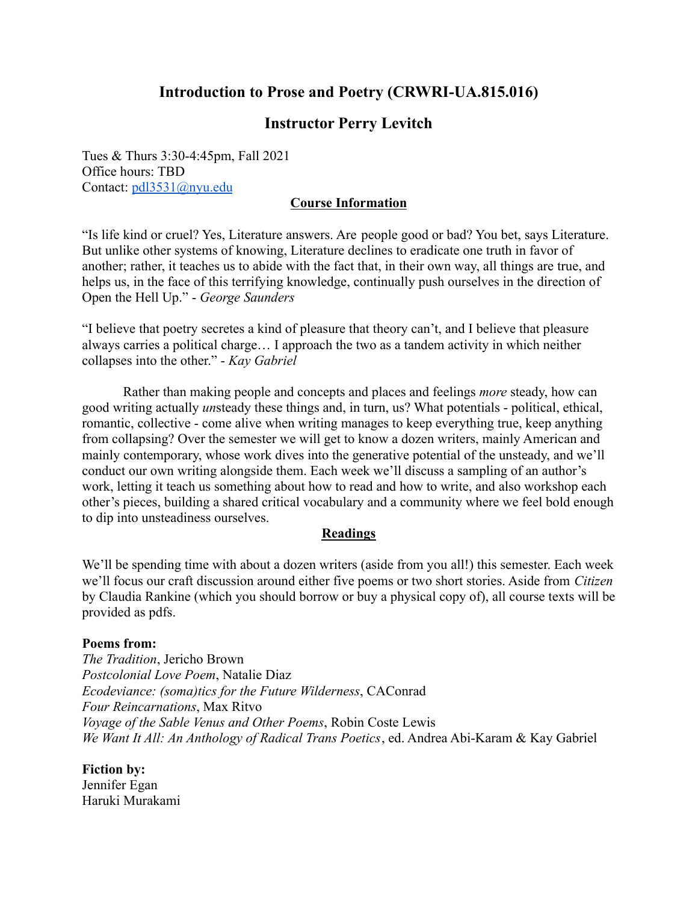# **Introduction to Prose and Poetry (CRWRI-UA.815.016)**

# **Instructor Perry Levitch**

Tues & Thurs 3:30-4:45pm, Fall 2021 Office hours: TBD Contact: [pdl3531@nyu.edu](mailto:pdl3531@nyu.edu)

## **Course Information**

"Is life kind or cruel? Yes, Literature answers. Are people good or bad? You bet, says Literature. But unlike other systems of knowing, Literature declines to eradicate one truth in favor of another; rather, it teaches us to abide with the fact that, in their own way, all things are true, and helps us, in the face of this terrifying knowledge, continually push ourselves in the direction of Open the Hell Up." - *George Saunders*

"I believe that poetry secretes a kind of pleasure that theory can't, and I believe that pleasure always carries a political charge… I approach the two as a tandem activity in which neither collapses into the other." - *Kay Gabriel*

Rather than making people and concepts and places and feelings *more* steady, how can good writing actually *un*steady these things and, in turn, us? What potentials - political, ethical, romantic, collective - come alive when writing manages to keep everything true, keep anything from collapsing? Over the semester we will get to know a dozen writers, mainly American and mainly contemporary, whose work dives into the generative potential of the unsteady, and we'll conduct our own writing alongside them. Each week we'll discuss a sampling of an author's work, letting it teach us something about how to read and how to write, and also workshop each other's pieces, building a shared critical vocabulary and a community where we feel bold enough to dip into unsteadiness ourselves.

## **Readings**

We'll be spending time with about a dozen writers (aside from you all!) this semester. Each week we'll focus our craft discussion around either five poems or two short stories. Aside from *Citizen* by Claudia Rankine (which you should borrow or buy a physical copy of), all course texts will be provided as pdfs.

#### **Poems from:**

*The Tradition*, Jericho Brown *Postcolonial Love Poem*, Natalie Diaz *Ecodeviance: (soma)tics for the Future Wilderness*, CAConrad *Four Reincarnations*, Max Ritvo *Voyage of the Sable Venus and Other Poems*, Robin Coste Lewis *We Want It All: An Anthology of Radical Trans Poetics*, ed. Andrea Abi-Karam & Kay Gabriel

**Fiction by:** Jennifer Egan Haruki Murakami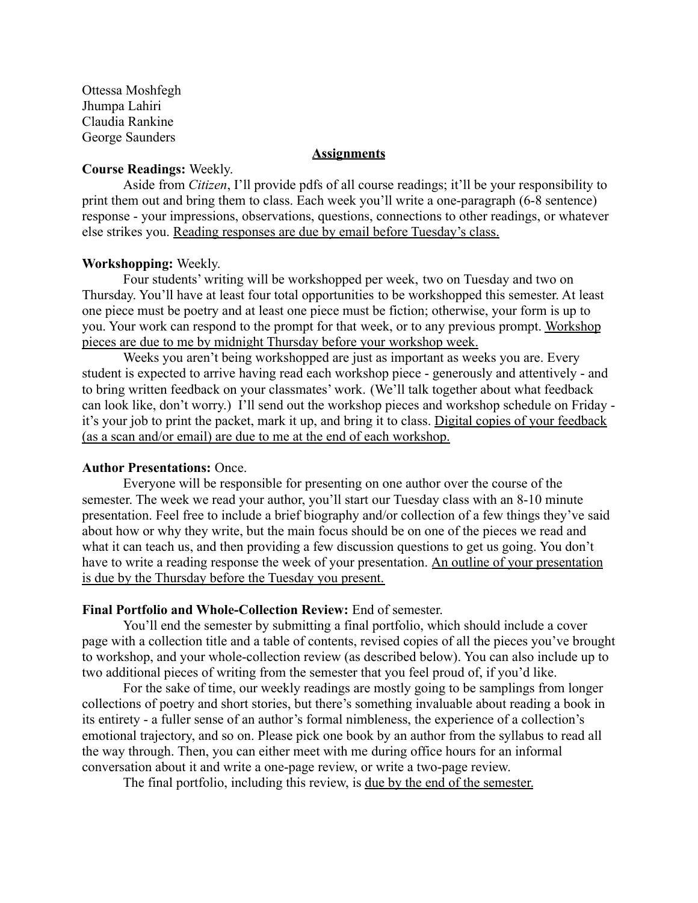Ottessa Moshfegh Jhumpa Lahiri Claudia Rankine George Saunders

## **Assignments**

### **Course Readings:** Weekly.

Aside from *Citizen*, I'll provide pdfs of all course readings; it'll be your responsibility to print them out and bring them to class. Each week you'll write a one-paragraph (6-8 sentence) response - your impressions, observations, questions, connections to other readings, or whatever else strikes you. Reading responses are due by email before Tuesday's class.

#### **Workshopping:** Weekly.

Four students' writing will be workshopped per week, two on Tuesday and two on Thursday. You'll have at least four total opportunities to be workshopped this semester. At least one piece must be poetry and at least one piece must be fiction; otherwise, your form is up to you. Your work can respond to the prompt for that week, or to any previous prompt. Workshop pieces are due to me by midnight Thursday before your workshop week.

Weeks you aren't being workshopped are just as important as weeks you are. Every student is expected to arrive having read each workshop piece - generously and attentively - and to bring written feedback on your classmates' work. (We'll talk together about what feedback can look like, don't worry.) I'll send out the workshop pieces and workshop schedule on Friday it's your job to print the packet, mark it up, and bring it to class. Digital copies of your feedback (as a scan and/or email) are due to me at the end of each workshop.

#### **Author Presentations:** Once.

Everyone will be responsible for presenting on one author over the course of the semester. The week we read your author, you'll start our Tuesday class with an 8-10 minute presentation. Feel free to include a brief biography and/or collection of a few things they've said about how or why they write, but the main focus should be on one of the pieces we read and what it can teach us, and then providing a few discussion questions to get us going. You don't have to write a reading response the week of your presentation. An outline of your presentation is due by the Thursday before the Tuesday you present.

#### **Final Portfolio and Whole-Collection Review:** End of semester.

You'll end the semester by submitting a final portfolio, which should include a cover page with a collection title and a table of contents, revised copies of all the pieces you've brought to workshop, and your whole-collection review (as described below). You can also include up to two additional pieces of writing from the semester that you feel proud of, if you'd like.

For the sake of time, our weekly readings are mostly going to be samplings from longer collections of poetry and short stories, but there's something invaluable about reading a book in its entirety - a fuller sense of an author's formal nimbleness, the experience of a collection's emotional trajectory, and so on. Please pick one book by an author from the syllabus to read all the way through. Then, you can either meet with me during office hours for an informal conversation about it and write a one-page review, or write a two-page review.

The final portfolio, including this review, is due by the end of the semester.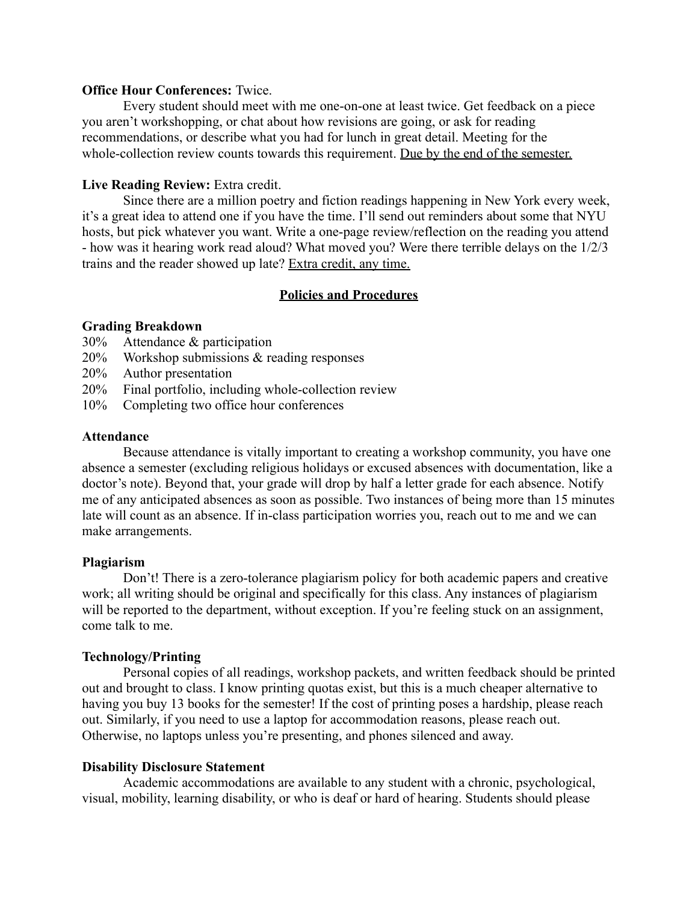### **Office Hour Conferences:** Twice.

Every student should meet with me one-on-one at least twice. Get feedback on a piece you aren't workshopping, or chat about how revisions are going, or ask for reading recommendations, or describe what you had for lunch in great detail. Meeting for the whole-collection review counts towards this requirement. Due by the end of the semester.

## **Live Reading Review:** Extra credit.

Since there are a million poetry and fiction readings happening in New York every week, it's a great idea to attend one if you have the time. I'll send out reminders about some that NYU hosts, but pick whatever you want. Write a one-page review/reflection on the reading you attend - how was it hearing work read aloud? What moved you? Were there terrible delays on the 1/2/3 trains and the reader showed up late? Extra credit, any time.

# **Policies and Procedures**

## **Grading Breakdown**

- 30% Attendance & participation
- 20% Workshop submissions & reading responses
- 20% Author presentation
- 20% Final portfolio, including whole-collection review
- 10% Completing two office hour conferences

## **Attendance**

Because attendance is vitally important to creating a workshop community, you have one absence a semester (excluding religious holidays or excused absences with documentation, like a doctor's note). Beyond that, your grade will drop by half a letter grade for each absence. Notify me of any anticipated absences as soon as possible. Two instances of being more than 15 minutes late will count as an absence. If in-class participation worries you, reach out to me and we can make arrangements.

## **Plagiarism**

Don't! There is a zero-tolerance plagiarism policy for both academic papers and creative work; all writing should be original and specifically for this class. Any instances of plagiarism will be reported to the department, without exception. If you're feeling stuck on an assignment, come talk to me.

## **Technology/Printing**

Personal copies of all readings, workshop packets, and written feedback should be printed out and brought to class. I know printing quotas exist, but this is a much cheaper alternative to having you buy 13 books for the semester! If the cost of printing poses a hardship, please reach out. Similarly, if you need to use a laptop for accommodation reasons, please reach out. Otherwise, no laptops unless you're presenting, and phones silenced and away.

## **Disability Disclosure Statement**

Academic accommodations are available to any student with a chronic, psychological, visual, mobility, learning disability, or who is deaf or hard of hearing. Students should please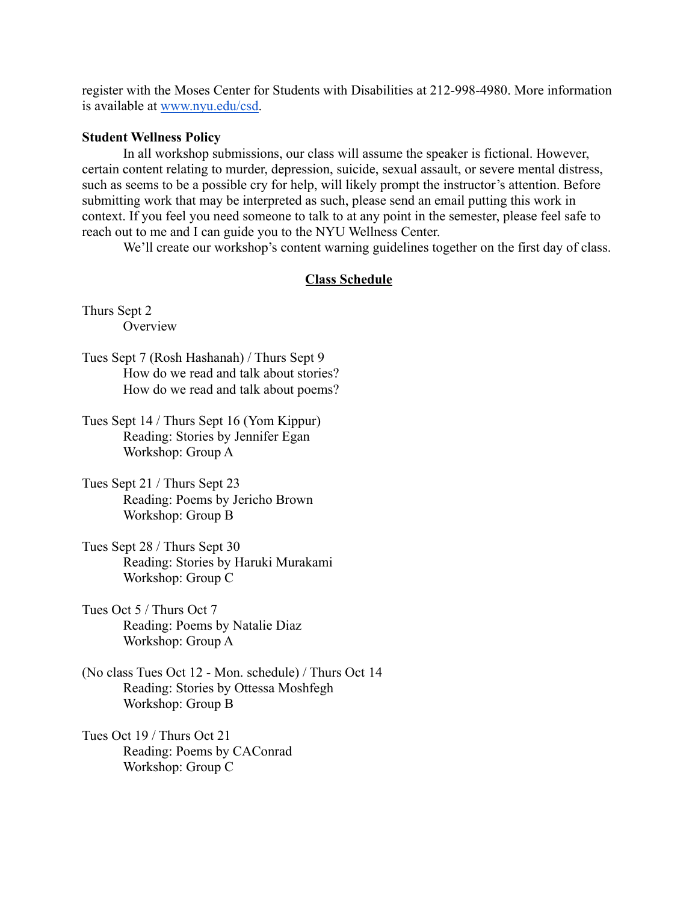register with the Moses Center for Students with Disabilities at 212-998-4980. More information is available at [www.nyu.edu/csd.](http://www.nyu.edu/csd)

### **Student Wellness Policy**

In all workshop submissions, our class will assume the speaker is fictional. However, certain content relating to murder, depression, suicide, sexual assault, or severe mental distress, such as seems to be a possible cry for help, will likely prompt the instructor's attention. Before submitting work that may be interpreted as such, please send an email putting this work in context. If you feel you need someone to talk to at any point in the semester, please feel safe to reach out to me and I can guide you to the NYU Wellness Center.

We'll create our workshop's content warning guidelines together on the first day of class.

## **Class Schedule**

Thurs Sept 2 **Overview** 

- Tues Sept 7 (Rosh Hashanah) / Thurs Sept 9 How do we read and talk about stories? How do we read and talk about poems?
- Tues Sept 14 / Thurs Sept 16 (Yom Kippur) Reading: Stories by Jennifer Egan Workshop: Group A
- Tues Sept 21 / Thurs Sept 23 Reading: Poems by Jericho Brown Workshop: Group B
- Tues Sept 28 / Thurs Sept 30 Reading: Stories by Haruki Murakami Workshop: Group C
- Tues Oct 5 / Thurs Oct 7 Reading: Poems by Natalie Diaz Workshop: Group A
- (No class Tues Oct 12 Mon. schedule) / Thurs Oct 14 Reading: Stories by Ottessa Moshfegh Workshop: Group B
- Tues Oct 19 / Thurs Oct 21 Reading: Poems by CAConrad Workshop: Group C